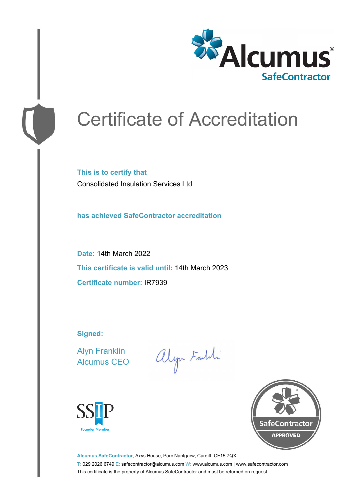

# Certificate of Accreditation

**This is to certify that** Consolidated Insulation Services Ltd

**has achieved SafeContractor accreditation**

**Date:** 14th March 2022 **This certificate is valid until:** 14th March 2023 **Certificate number:** IR7939

**Signed:**

Alyn Franklin Alcumus CEO

alyn Faith





**Alcumus SafeContractor,** Axys House, Parc Nantgarw, Cardiff, CF15 7QX T: 029 2026 6749 E: safecontractor@alcumus.com W: www.alcumus.com | www.safecontractor.com This certificate is the property of Alcumus SafeContractor and must be returned on request